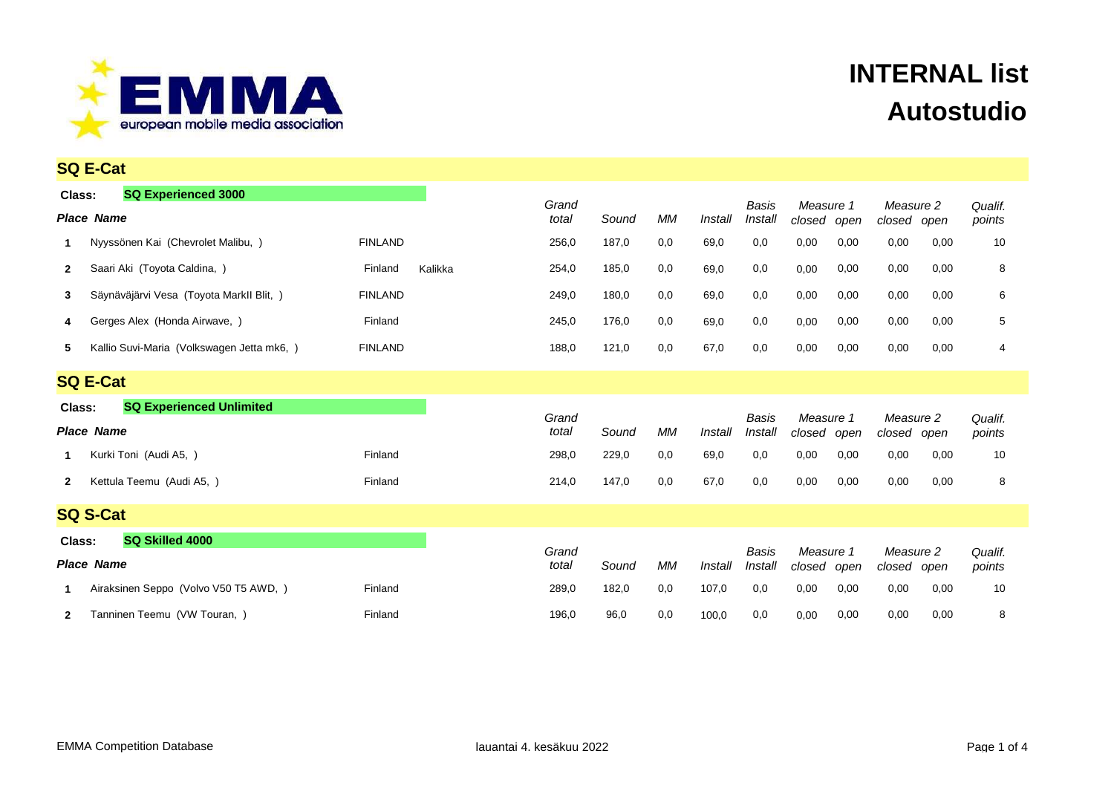

|                                           | <b>SQ E-Cat</b>                                 |                |         |                |       |     |         |                  |                     |      |                             |      |                   |
|-------------------------------------------|-------------------------------------------------|----------------|---------|----------------|-------|-----|---------|------------------|---------------------|------|-----------------------------|------|-------------------|
| Class:                                    | <b>SQ Experienced 3000</b><br><b>Place Name</b> |                |         | Grand<br>total | Sound | МM  | Install | Basis<br>Install | Measure 1<br>closed | open | Measure 2<br>closed         | open | Qualif.<br>points |
| -1                                        | Nyyssönen Kai (Chevrolet Malibu, )              | <b>FINLAND</b> |         | 256,0          | 187,0 | 0,0 | 69,0    | 0,0              | 0,00                | 0,00 | 0,00                        | 0,00 | 10                |
| $\mathbf{2}$                              | Saari Aki (Toyota Caldina, )                    | Finland        | Kalikka | 254,0          | 185,0 | 0,0 | 69,0    | 0,0              | 0,00                | 0,00 | 0,00                        | 0,00 | 8                 |
| 3                                         | Säynäväjärvi Vesa (Toyota Markll Blit, )        | <b>FINLAND</b> |         | 249,0          | 180,0 | 0,0 | 69,0    | 0,0              | 0,00                | 0,00 | 0,00                        | 0,00 | 6                 |
| 4                                         | Gerges Alex (Honda Airwave, )                   | Finland        |         | 245,0          | 176,0 | 0,0 | 69,0    | 0,0              | 0,00                | 0,00 | 0,00                        | 0,00 | 5                 |
| 5                                         | Kallio Suvi-Maria (Volkswagen Jetta mk6, )      | <b>FINLAND</b> |         | 188,0          | 121,0 | 0,0 | 67,0    | 0,0              | 0,00                | 0,00 | 0,00                        | 0,00 | 4                 |
|                                           | <b>SQ E-Cat</b>                                 |                |         |                |       |     |         |                  |                     |      |                             |      |                   |
| <b>SQ Experienced Unlimited</b><br>Class: |                                                 |                |         | Grand          |       |     |         | Basis            | Measure 1           |      |                             |      |                   |
| <b>Place Name</b>                         |                                                 |                |         | total          | Sound | МM  | Install | Install          | closed<br>open      |      | Measure 2<br>closed<br>open |      | Qualif.<br>points |
| -1                                        | Kurki Toni (Audi A5, )                          | Finland        |         | 298,0          | 229,0 | 0,0 | 69,0    | 0,0              | 0,00                | 0,00 | 0,00                        | 0,00 | 10                |
| $\mathbf{2}$                              | Kettula Teemu (Audi A5, )                       | Finland        |         | 214,0          | 147,0 | 0,0 | 67,0    | 0,0              | 0,00                | 0,00 | 0,00                        | 0,00 | 8                 |
|                                           | <b>SQ S-Cat</b>                                 |                |         |                |       |     |         |                  |                     |      |                             |      |                   |
| Class:                                    | SQ Skilled 4000                                 |                |         |                |       |     |         |                  |                     |      |                             |      |                   |
|                                           | <b>Place Name</b>                               |                |         | Grand<br>total | Sound | MМ  | Install | Basis<br>Install | Measure 1<br>closed | open | Measure 2<br>closed         | open | Qualif.<br>points |
|                                           | Airaksinen Seppo (Volvo V50 T5 AWD, )           | Finland        |         | 289,0          | 182,0 | 0,0 | 107,0   | 0,0              | 0,00                | 0,00 | 0,00                        | 0,00 | 10                |
| 2                                         | Tanninen Teemu (VW Touran, )                    | Finland        |         | 196,0          | 96,0  | 0,0 | 100,0   | 0,0              | 0,00                | 0,00 | 0,00                        | 0,00 | 8                 |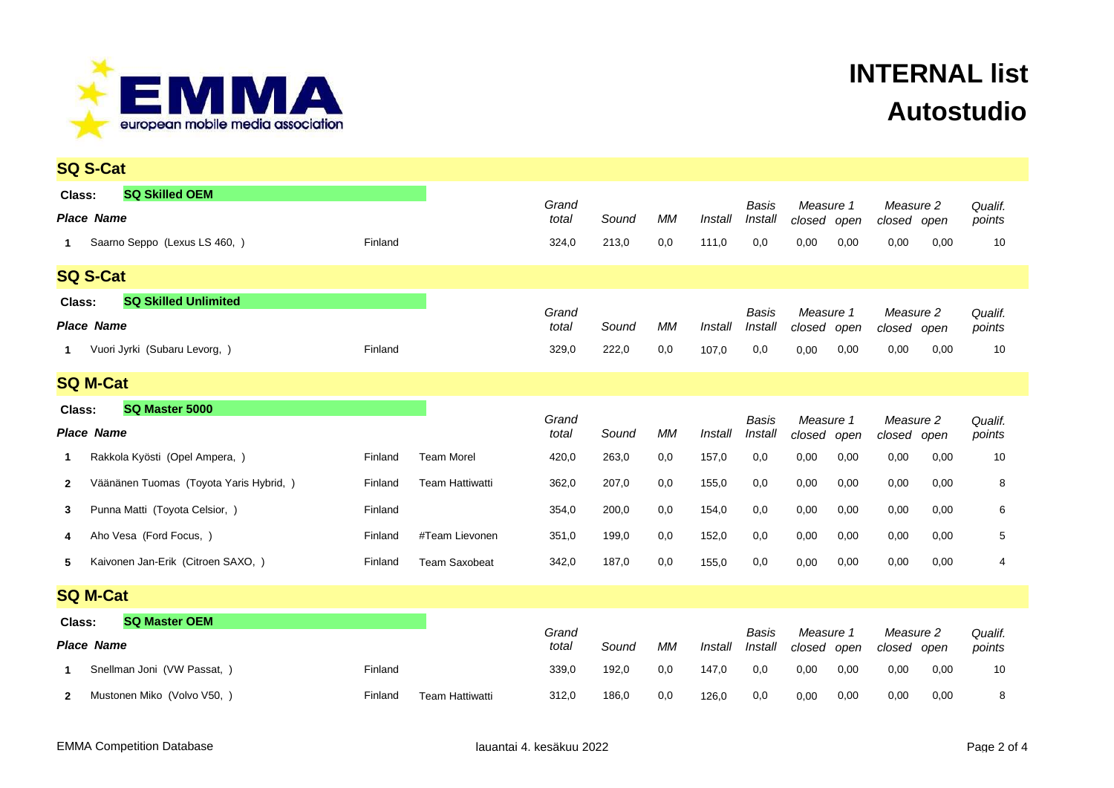

|                                       | <b>SQ S-Cat</b>                         |         |                        |                |       |           |         |                         |                          |      |                          |      |                   |  |
|---------------------------------------|-----------------------------------------|---------|------------------------|----------------|-------|-----------|---------|-------------------------|--------------------------|------|--------------------------|------|-------------------|--|
| Class:                                | <b>SQ Skilled OEM</b>                   |         |                        | Grand          |       |           |         | Basis                   | Measure 1                |      | Measure 2                |      | Qualif.           |  |
|                                       | <b>Place Name</b>                       |         |                        | total          | Sound | МM        | Install | Install                 | closed open              |      | closed open              |      | points            |  |
| $\mathbf 1$                           | Saarno Seppo (Lexus LS 460, )           | Finland |                        | 324,0          | 213,0 | 0,0       | 111,0   | 0,0                     | 0,00                     | 0,00 | 0,00                     | 0,00 | 10                |  |
|                                       | <b>SQ S-Cat</b>                         |         |                        |                |       |           |         |                         |                          |      |                          |      |                   |  |
| <b>SQ Skilled Unlimited</b><br>Class: |                                         |         |                        |                |       |           |         |                         |                          |      |                          |      |                   |  |
| <b>Place Name</b>                     |                                         |         |                        | Grand<br>total | Sound | МM        | Install | <b>Basis</b><br>Install | Measure 1<br>closed open |      | Measure 2<br>closed open |      | Qualif.<br>points |  |
| $\mathbf 1$                           | Vuori Jyrki (Subaru Levorg, )           | Finland |                        | 329,0          | 222,0 | 0,0       | 107,0   | 0,0                     | 0,00                     | 0,00 | 0,00                     | 0,00 | 10                |  |
|                                       | <b>SQ M-Cat</b>                         |         |                        |                |       |           |         |                         |                          |      |                          |      |                   |  |
| Class:                                | SQ Master 5000                          |         |                        | Grand          |       |           |         | <b>Basis</b>            | Measure 1                |      | Measure 2                |      | Qualif.           |  |
| <b>Place Name</b>                     |                                         |         |                        | total          | Sound | <b>MM</b> | Install | Install                 | closed open              |      | closed open              |      | points            |  |
| -1                                    | Rakkola Kyösti (Opel Ampera, )          | Finland | <b>Team Morel</b>      | 420,0          | 263,0 | 0,0       | 157,0   | 0,0                     | 0,00                     | 0,00 | 0,00                     | 0,00 | 10                |  |
| $\mathbf{2}$                          | Väänänen Tuomas (Toyota Yaris Hybrid, ) | Finland | <b>Team Hattiwatti</b> | 362,0          | 207,0 | 0,0       | 155,0   | 0,0                     | 0,00                     | 0,00 | 0,00                     | 0,00 | 8                 |  |
| 3                                     | Punna Matti (Toyota Celsior, )          | Finland |                        | 354,0          | 200,0 | 0,0       | 154,0   | 0,0                     | 0,00                     | 0,00 | 0,00                     | 0,00 | 6                 |  |
| 4                                     | Aho Vesa (Ford Focus, )                 | Finland | #Team Lievonen         | 351,0          | 199,0 | 0,0       | 152,0   | 0,0                     | 0,00                     | 0,00 | 0,00                     | 0,00 | 5                 |  |
| 5                                     | Kaivonen Jan-Erik (Citroen SAXO, )      | Finland | <b>Team Saxobeat</b>   | 342,0          | 187,0 | 0,0       | 155,0   | 0,0                     | 0,00                     | 0,00 | 0,00                     | 0,00 | 4                 |  |
|                                       | <b>SQ M-Cat</b>                         |         |                        |                |       |           |         |                         |                          |      |                          |      |                   |  |
| <b>SQ Master OEM</b><br>Class:        |                                         |         |                        | Grand          |       |           |         | <b>Basis</b>            | Measure 1                |      | Measure 2                |      | Qualif.           |  |
|                                       | <b>Place Name</b>                       |         |                        | total          | Sound | МM        | Install | Install                 | closed open              |      | closed open              |      | points            |  |
| -1                                    | Snellman Joni (VW Passat, )             | Finland |                        | 339,0          | 192,0 | 0,0       | 147,0   | 0,0                     | 0,00                     | 0,00 | 0,00                     | 0,00 | 10                |  |
| $\mathbf{2}$                          | Mustonen Miko (Volvo V50, )             | Finland | <b>Team Hattiwatti</b> | 312,0          | 186,0 | 0,0       | 126,0   | 0,0                     | 0,00                     | 0,00 | 0,00                     | 0,00 | 8                 |  |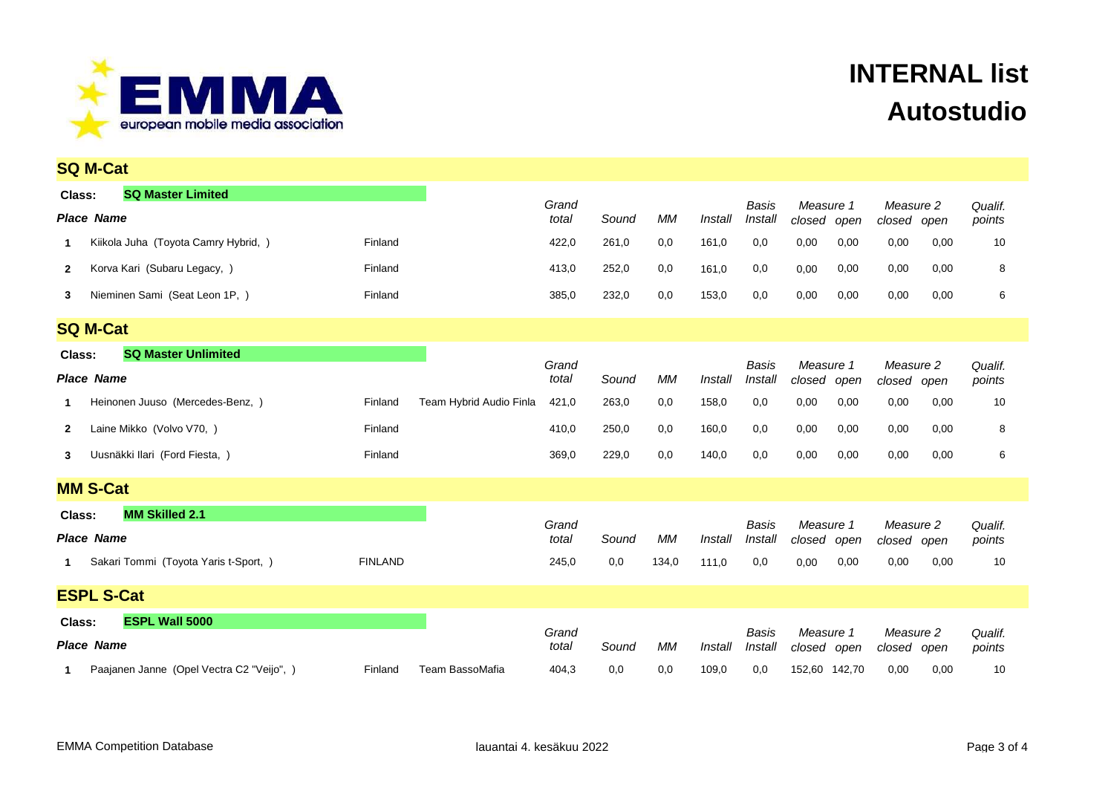

|                                                           | <b>SQ M-Cat</b>                                                                     |                |                         |                         |              |             |                  |                         |                             |              |                                  |      |                         |
|-----------------------------------------------------------|-------------------------------------------------------------------------------------|----------------|-------------------------|-------------------------|--------------|-------------|------------------|-------------------------|-----------------------------|--------------|----------------------------------|------|-------------------------|
| Class:                                                    | <b>SQ Master Limited</b><br><b>Place Name</b>                                       |                |                         | Grand<br>total          | Sound        | МM          | Install          | Basis<br>Install        | Measure 1<br>closed         | open         | Measure 2<br>closed open         |      | Qualif.<br>points       |
| 1.                                                        | Kiikola Juha (Toyota Camry Hybrid, )                                                | Finland        |                         | 422,0                   | 261,0        | 0,0         | 161,0            | 0,0                     | 0,00                        | 0,00         | 0,00                             | 0,00 | 10                      |
| $\mathbf{2}$                                              | Korva Kari (Subaru Legacy, )                                                        | Finland        |                         | 413,0                   | 252,0        | 0,0         | 161,0            | 0,0                     | 0,00                        | 0,00         | 0,00                             | 0,00 | 8                       |
| 3                                                         | Nieminen Sami (Seat Leon 1P, )                                                      | Finland        |                         | 385,0                   | 232,0        | 0,0         | 153,0            | 0,0                     | 0,00                        | 0,00         | 0,00                             | 0,00 | 6                       |
|                                                           | <b>SQ M-Cat</b>                                                                     |                |                         |                         |              |             |                  |                         |                             |              |                                  |      |                         |
| <b>SQ Master Unlimited</b><br>Class:<br><b>Place Name</b> |                                                                                     |                |                         | Grand<br>total          | Sound        | <b>MM</b>   | Install          | Basis<br>Install        | Measure 1<br>closed         | open         | Measure 2<br>closed open         |      | Qualif.<br>points       |
| 1                                                         | Heinonen Juuso (Mercedes-Benz, )                                                    | Finland        | Team Hybrid Audio Finla | 421,0                   | 263,0        | 0,0         | 158,0            | 0,0                     | 0,00                        | 0,00         | 0,00                             | 0,00 | 10                      |
| $\mathbf{2}$                                              | Laine Mikko (Volvo V70, )                                                           | Finland        |                         | 410,0                   | 250,0        | 0,0         | 160,0            | 0,0                     | 0,00                        | 0,00         | 0,00                             | 0,00 | 8                       |
| 3                                                         | Uusnäkki Ilari (Ford Fiesta, )                                                      | Finland        |                         | 369,0                   | 229,0        | 0,0         | 140,0            | 0,0                     | 0,00                        | 0,00         | 0,00                             | 0,00 | 6                       |
|                                                           | <b>MM S-Cat</b>                                                                     |                |                         |                         |              |             |                  |                         |                             |              |                                  |      |                         |
| Class:<br>1                                               | <b>MM Skilled 2.1</b><br><b>Place Name</b><br>Sakari Tommi (Toyota Yaris t-Sport, ) | <b>FINLAND</b> |                         | Grand<br>total<br>245,0 | Sound<br>0,0 | МM<br>134,0 | Install<br>111,0 | Basis<br>Install<br>0,0 | Measure 1<br>closed<br>0,00 | open<br>0,00 | Measure 2<br>closed open<br>0,00 | 0,00 | Qualif.<br>points<br>10 |
|                                                           | <b>ESPL S-Cat</b>                                                                   |                |                         |                         |              |             |                  |                         |                             |              |                                  |      |                         |
|                                                           | <b>ESPL Wall 5000</b><br>Class:<br><b>Place Name</b>                                |                |                         | Grand<br>total          | Sound        | <b>MM</b>   | Install          | Basis<br>Install        | Measure 1<br>closed open    |              | Measure 2<br>closed open         |      | Qualif.<br>points       |
|                                                           | Paajanen Janne (Opel Vectra C2 "Veijo", )                                           | Finland        | Team BassoMafia         | 404,3                   | 0,0          | 0,0         | 109,0            | 0,0                     | 152,60 142,70               |              | 0,00                             | 0,00 | 10                      |